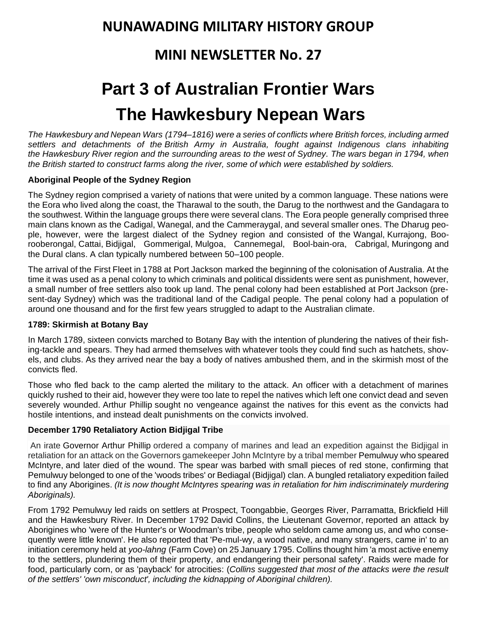# **NUNAWADING MILITARY HISTORY GROUP**

# **MINI NEWSLETTER No. 27**

# **Part 3 of Australian Frontier Wars The Hawkesbury Nepean Wars**

*The Hawkesbury and Nepean Wars (1794–1816) were a series of conflicts where British forces, including armed settlers and detachments of the [British Army in Australia,](https://en.wikipedia.org/wiki/British_Army_in_Australia) fought against Indigenous clans inhabiting the [Hawkesbury River](https://en.wikipedia.org/wiki/Hawkesbury_River) region and the surrounding areas to the [west of Sydney.](https://en.wikipedia.org/wiki/Greater_Western_Sydney) The wars began in 1794, when the British started to construct farms along the river, some of which were established by soldiers.*

# **Aboriginal People of the Sydney Region**

The Sydney region comprised a variety of nations that were united by a common language. These nations were the Eora who lived along the coast, the [Tharawal](https://en.wikipedia.org/wiki/Tharawal) to the south, the [Darug](https://en.wikipedia.org/wiki/Dharug) to the northwest and the Gandagara to the southwest. Within the language groups there were several clans. The [Eora people](https://en.wikipedia.org/wiki/Eora_people) generally comprised three main clans known as the [Cadigal,](https://en.wikipedia.org/wiki/Cadigal) Wanegal, and the [Cammeraygal,](https://en.wikipedia.org/wiki/Cammeraygal) and several smaller ones. The Dharug people, however, were the largest dialect of the Sydney region and consisted of the [Wangal,](https://en.wikipedia.org/wiki/Wangal) [Kurrajong,](https://en.wikipedia.org/wiki/Kurrajong,_New_South_Wales) Boorooberongal, [Cattai,](https://en.wikipedia.org/wiki/Cattai) [Bidjigal,](https://en.wikipedia.org/wiki/Bidjigal) Gommerigal, [Mulgoa,](https://en.wikipedia.org/wiki/Mulgoa) Cannemegal, Bool-bain-ora, Cabrigal, [Muringong](https://en.wikipedia.org/wiki/Muringong) and the [Dural](https://en.wikipedia.org/wiki/Dural) clans. A clan typically numbered between 50–100 people.

The arrival of the [First Fleet](https://en.wikipedia.org/wiki/First_Fleet) in 1788 at [Port Jackson](https://en.wikipedia.org/wiki/Port_Jackson) marked the beginning of the colonisation of Australia. At the time it was used as a penal colony to which criminals and political dissidents were sent as punishment, however, a small number of free settlers also took up land. The penal colony had been established at Port Jackson (present-day Sydney) which was the traditional land of the Cadigal people. The penal colony had a population of around one thousand and for the first few years struggled to adapt to the [Australian climate.](https://en.wikipedia.org/wiki/Climate_of_Australia)

#### **1789: Skirmish at Botany Bay**

In March 1789, sixteen convicts marched to [Botany Bay](https://en.wikipedia.org/wiki/Botany_Bay) with the intention of plundering the natives of their fishing-tackle and spears. They had armed themselves with whatever tools they could find such as hatchets, shovels, and clubs. As they arrived near the bay a body of natives ambushed them, and in the [skirmish](https://en.wikipedia.org/wiki/Skirmish) most of the convicts fled.

Those who fled back to the camp alerted the military to the attack. An officer with a detachment of marines quickly rushed to their aid, however they were too late to repel the natives which left one convict dead and seven severely wounded. [Arthur Phillip](https://en.wikipedia.org/wiki/Arthur_Phillip) sought no vengeance against the natives for this event as the convicts had hostile intentions, and instead dealt punishments on the convicts involved.

# **December 1790 Retaliatory Action Bidjigal Tribe**

An irate [Governor Arthur Phillip](https://en.wikipedia.org/wiki/Governor_Arthur_Phillip) ordered a company of marines and lead an expedition against the Bidjigal in retaliation for an attack on the Governors gamekeeper John McIntyre by a tribal member Pemulwuy who speared McIntyre, and later died of the wound. The spear was barbed with small pieces of red stone, confirming that Pemulwuy belonged to one of the 'woods tribes' or Bediagal (Bidjigal) clan. A bungled retaliatory expedition failed to find any Aborigines. *(It is now thought McIntyres spearing was in retaliation for him indiscriminately murdering Aboriginals).*

From 1792 Pemulwuy led raids on settlers at Prospect, Toongabbie, Georges River, Parramatta, Brickfield Hill and the Hawkesbury River. In December 1792 [David Collins,](http://adb.anu.edu.au/biography/collins-david-1912) the Lieutenant Governor, reported an attack by Aborigines who 'were of the Hunter's or Woodman's tribe, people who seldom came among us, and who consequently were little known'. He also reported that 'Pe-mul-wy, a wood native, and many strangers, came in' to an initiation ceremony held at *yoo-lahng* (Farm Cove) on 25 January 1795. Collins thought him 'a most active enemy to the settlers, plundering them of their property, and endangering their personal safety'. Raids were made for food, particularly corn, or as 'payback' for atrocities: (*Collins suggested that most of the attacks were the result of the settlers' 'own misconduct', including the kidnapping of Aboriginal children).*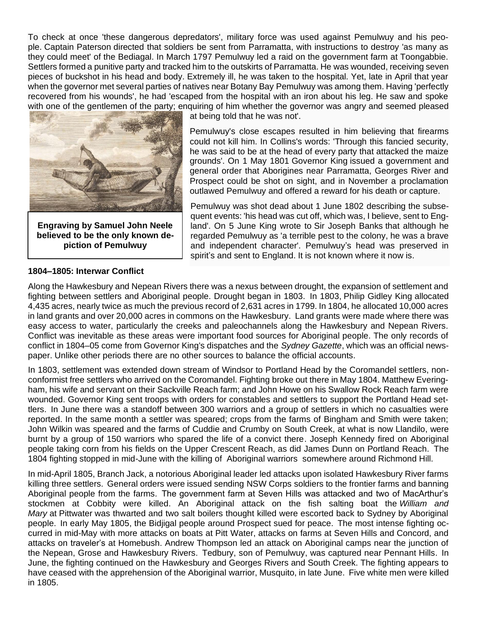To check at once 'these dangerous depredators', military force was used against Pemulwuy and his people. [Captain Paterson](http://adb.anu.edu.au/biography/paterson-william-2541) directed that soldiers be sent from Parramatta, with instructions to destroy 'as many as they could meet' of the Bediagal. In March 1797 Pemulwuy led a raid on the government farm at Toongabbie. Settlers formed a punitive party and tracked him to the outskirts of Parramatta. He was wounded, receiving seven pieces of buckshot in his head and body. Extremely ill, he was taken to the hospital. Yet, late in April that year when the governor met several parties of natives near Botany Bay Pemulwuy was among them. Having 'perfectly recovered from his wounds', he had 'escaped from the hospital with an iron about his leg. He saw and spoke with one of the gentlemen of the party; enquiring of him whether the governor was angry and seemed pleased



**Engraving by Samuel John Neele believed to be the only known depiction of Pemulwuy**

at being told that he was not'.

Pemulwuy's close escapes resulted in him believing that firearms could not kill him. In Collins's words: 'Through this fancied security, he was said to be at the head of every party that attacked the maize grounds'. On 1 May 1801 [Governor King](http://adb.anu.edu.au/biography/king-philip-gidley-2309) issued a government and general order that Aborigines near Parramatta, Georges River and Prospect could be shot on sight, and in November a proclamation outlawed Pemulwuy and offered a reward for his death or capture.

Pemulwuy was shot dead about 1 June 1802 describing the subsequent events: 'his head was cut off, which was, I believe, sent to England'. On 5 June King wrote to [Sir Joseph Banks](http://adb.anu.edu.au/biography/banks-joseph-1737) that although he regarded Pemulwuy as 'a terrible pest to the colony, he was a brave and independent character'. Pemulwuy's head was preserved in spirit's and sent to England. It is not known where it now is.

## **1804–1805: Interwar Conflict**

Along the Hawkesbury and Nepean Rivers there was a nexus between drought, the expansion of settlement and fighting between settlers and Aboriginal people. Drought began in 1803. In 1803, [Philip Gidley King](https://en.wikipedia.org/wiki/Philip_Gidley_King) allocated 4,435 acres, nearly twice as much the previous record of 2,631 acres in 1799. In 1804, he allocated 10,000 acres in land grants and over 20,000 acres in commons on the Hawkesbury. Land grants were made where there was easy access to water, particularly the creeks and paleochannels along the Hawkesbury and Nepean Rivers. Conflict was inevitable as these areas were important food sources for Aboriginal people. The only records of conflict in 1804–05 come from Governor King's dispatches and the *Sydney Gazette*, which was an official newspaper. Unlike other periods there are no other sources to balance the official accounts.

In 1803. settlement was extended down stream of [Windsor](https://en.wikipedia.org/wiki/Windsor,_New_South_Wales) to Portland Head by the Coromandel settlers, nonconformist free settlers who arrived on the Coromandel. Fighting broke out there in May 1804. Matthew Everingham, his wife and servant on their Sackville Reach farm; and John Howe on his Swallow Rock Reach farm were wounded. Governor King sent troops with orders for constables and settlers to support the Portland Head settlers. In June there was a standoff between 300 warriors and a group of settlers in which no casualties were reported. In the same month a settler was speared; crops from the farms of Bingham and Smith were taken; John Wilkin was speared and the farms of Cuddie and Crumby on [South Creek,](https://en.wikipedia.org/wiki/South_Creek_(New_South_Wales)) at what is now [Llandilo,](https://en.wikipedia.org/wiki/Llandilo) were burnt by a group of 150 warriors who spared the life of a convict there. Joseph Kennedy fired on Aboriginal people taking corn from his fields on the Upper Crescent Reach, as did James Dunn on Portland Reach. The 1804 fighting stopped in mid-June with the killing of Aboriginal warriors somewhere around Richmond Hill.

In mid-April 1805, Branch Jack, a notorious Aboriginal leader led attacks upon isolated Hawkesbury River farms killing three settlers. General orders were issued sending [NSW Corps](https://en.wikipedia.org/wiki/NSW_Corps) soldiers to the frontier farms and banning Aboriginal people from the farms. The government farm at Seven Hills was attacked and two of MacArthur's stockmen at Cobbity were killed. An Aboriginal attack on the fish salting boat the *William and Mary* at [Pittwater](https://en.wikipedia.org/wiki/Pittwater) was thwarted and two salt boilers thought killed were escorted back to Sydney by Aboriginal people. In early May 1805, the Bidjigal people around Prospect sued for peace. The most intense fighting occurred in mid-May with more attacks on boats at Pitt Water, attacks on farms at Seven Hills and Concord, and attacks on traveler's at Homebush. Andrew Thompson led an attack on Aboriginal camps near the junction of the Nepean, Grose and Hawkesbury Rivers. Tedbury, son of Pemulwuy, was captured near [Pennant Hills.](https://en.wikipedia.org/wiki/Pennant_Hills) In June, the fighting continued on the Hawkesbury and [Georges Rivers](https://en.wikipedia.org/wiki/Georges_River) and South Creek. The fighting appears to have ceased with the apprehension of the Aboriginal warrior, Musquito, in late June. Five white men were killed in 1805.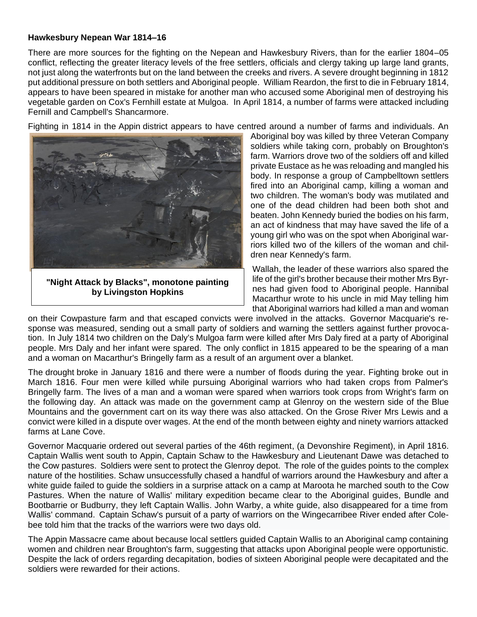#### **Hawkesbury Nepean War 1814–16**

There are more sources for the fighting on the Nepean and Hawkesbury Rivers, than for the earlier 1804–05 conflict, reflecting the greater [literacy](https://en.wikipedia.org/wiki/Literacy) levels of the free settlers, officials and clergy taking up large land grants, not just along the waterfronts but on the land between the creeks and rivers. A severe drought beginning in 1812 put additional pressure on both settlers and Aboriginal people. William Reardon, the first to die in February 1814, appears to have been speared in mistake for another man who accused some Aboriginal men of destroying his vegetable garden on Cox's Fernhill estate at Mulgoa. In April 1814, a number of farms were attacked including Fernill and Campbell's Shancarmore.

Fighting in 1814 in the [Appin](https://en.wikipedia.org/wiki/Appin,_New_South_Wales) district appears to have centred around a number of farms and individuals. An



**"Night Attack by Blacks", monotone painting by [Livingston Hopkins](https://en.wikipedia.org/wiki/Livingston_Hopkins)**

Aboriginal boy was killed by three Veteran Company soldiers while taking corn, probably on Broughton's farm. Warriors drove two of the soldiers off and killed private Eustace as he was reloading and mangled his body. In response a group of [Campbelltown](https://en.wikipedia.org/wiki/Campbelltown,_New_South_Wales) settlers fired into an Aboriginal camp, killing a woman and two children. The woman's body was mutilated and one of the dead children had been both shot and beaten. John Kennedy buried the bodies on his farm, an act of kindness that may have saved the life of a young girl who was on the spot when Aboriginal warriors killed two of the killers of the woman and children near Kennedy's farm.

Wallah, the leader of these warriors also spared the life of the girl's brother because their mother Mrs Byrnes had given food to Aboriginal people. Hannibal Macarthur wrote to his uncle in mid May telling him that Aboriginal warriors had killed a man and woman

on their Cowpasture farm and that escaped convicts were involved in the attacks. Governor Macquarie's response was measured, sending out a small party of soldiers and warning the settlers against further provocation. In July 1814 two children on the Daly's Mulgoa farm were killed after Mrs Daly fired at a party of Aboriginal people. Mrs Daly and her infant were spared. The only conflict in 1815 appeared to be the spearing of a man and a woman on Macarthur's [Bringelly](https://en.wikipedia.org/wiki/Bringelly) farm as a result of an argument over a blanket.

The [drought](https://en.wikipedia.org/wiki/Drought_in_Australia) broke in January 1816 and there were a number of floods during the year. Fighting broke out in March 1816. Four men were killed while pursuing Aboriginal warriors who had taken crops from Palmer's Bringelly farm. The lives of a man and a woman were spared when warriors took crops from Wright's farm on the following day. An attack was made on the government camp at Glenroy on the western side of the [Blue](https://en.wikipedia.org/wiki/Blue_Mountains_(New_South_Wales))  [Mountains](https://en.wikipedia.org/wiki/Blue_Mountains_(New_South_Wales)) and the government cart on its way there was also attacked. On the Grose River Mrs Lewis and a convict were killed in a dispute over wages. At the end of the month between eighty and ninety warriors attacked farms at Lane Cove.

[Governor Macquarie](https://en.wikipedia.org/wiki/Governor_Macquarie) ordered out several parties of the 46th regiment, (a Devonshire Regiment), in April 1816. Captain Wallis went south to Appin, Captain Schaw to the Hawkesbury and Lieutenant Dawe was detached to the Cow pastures. Soldiers were sent to protect the Glenroy depot. The role of the guides points to the complex nature of the hostilities. Schaw unsuccessfully chased a handful of warriors around the Hawkesbury and after a white guide failed to guide the soldiers in a surprise attack on a camp at [Maroota](https://en.wikipedia.org/wiki/Maroota) he marched south to the Cow Pastures. When the nature of Wallis' military expedition became clear to the Aboriginal guides, Bundle and Bootbarrie or Budburry, they left Captain Wallis. John Warby, a white guide, also disappeared for a time from Wallis' command. Captain Schaw's pursuit of a party of warriors on the [Wingecarribee River](https://en.wikipedia.org/wiki/Wingecarribee_River) ended after Colebee told him that the tracks of the warriors were two days old.

The Appin Massacre came about because local settlers guided Captain Wallis to an Aboriginal camp containing women and children near Broughton's farm, suggesting that attacks upon Aboriginal people were opportunistic. Despite the lack of orders regarding decapitation, bodies of sixteen Aboriginal people were decapitated and the soldiers were rewarded for their actions.